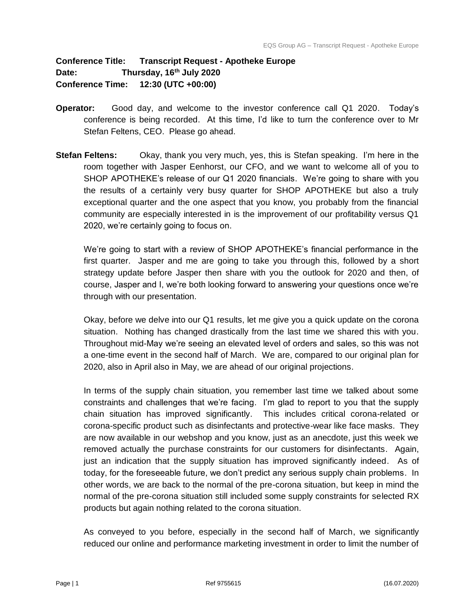## **Conference Title: Transcript Request - Apotheke Europe Date: Thursday, 16th July 2020 Conference Time: 12:30 (UTC +00:00)**

- **Operator:** Good day, and welcome to the investor conference call Q1 2020. Today's conference is being recorded. At this time, I'd like to turn the conference over to Mr Stefan Feltens, CEO. Please go ahead.
- **Stefan Feltens:** Okay, thank you very much, yes, this is Stefan speaking. I'm here in the room together with Jasper Eenhorst, our CFO, and we want to welcome all of you to SHOP APOTHEKE's release of our Q1 2020 financials. We're going to share with you the results of a certainly very busy quarter for SHOP APOTHEKE but also a truly exceptional quarter and the one aspect that you know, you probably from the financial community are especially interested in is the improvement of our profitability versus Q1 2020, we're certainly going to focus on.

We're going to start with a review of SHOP APOTHEKE's financial performance in the first quarter. Jasper and me are going to take you through this, followed by a short strategy update before Jasper then share with you the outlook for 2020 and then, of course, Jasper and I, we're both looking forward to answering your questions once we're through with our presentation.

Okay, before we delve into our Q1 results, let me give you a quick update on the corona situation. Nothing has changed drastically from the last time we shared this with you. Throughout mid-May we're seeing an elevated level of orders and sales, so this was not a one-time event in the second half of March. We are, compared to our original plan for 2020, also in April also in May, we are ahead of our original projections.

In terms of the supply chain situation, you remember last time we talked about some constraints and challenges that we're facing. I'm glad to report to you that the supply chain situation has improved significantly. This includes critical corona-related or corona-specific product such as disinfectants and protective-wear like face masks. They are now available in our webshop and you know, just as an anecdote, just this week we removed actually the purchase constraints for our customers for disinfectants. Again, just an indication that the supply situation has improved significantly indeed. As of today, for the foreseeable future, we don't predict any serious supply chain problems. In other words, we are back to the normal of the pre-corona situation, but keep in mind the normal of the pre-corona situation still included some supply constraints for selected RX products but again nothing related to the corona situation.

As conveyed to you before, especially in the second half of March, we significantly reduced our online and performance marketing investment in order to limit the number of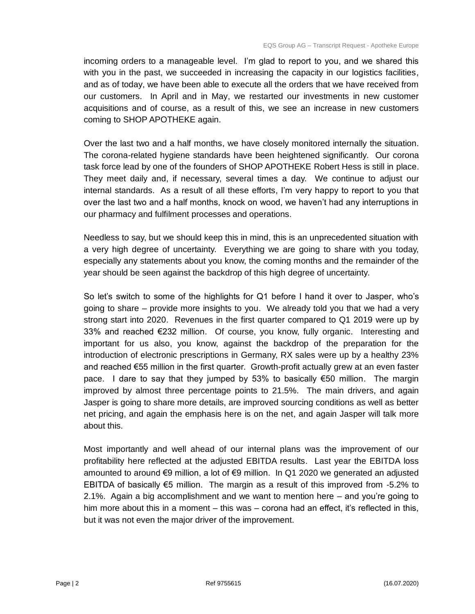incoming orders to a manageable level. I'm glad to report to you, and we shared this with you in the past, we succeeded in increasing the capacity in our logistics facilities, and as of today, we have been able to execute all the orders that we have received from our customers. In April and in May, we restarted our investments in new customer acquisitions and of course, as a result of this, we see an increase in new customers coming to SHOP APOTHEKE again.

Over the last two and a half months, we have closely monitored internally the situation. The corona-related hygiene standards have been heightened significantly. Our corona task force lead by one of the founders of SHOP APOTHEKE Robert Hess is still in place. They meet daily and, if necessary, several times a day. We continue to adjust our internal standards. As a result of all these efforts, I'm very happy to report to you that over the last two and a half months, knock on wood, we haven't had any interruptions in our pharmacy and fulfilment processes and operations.

Needless to say, but we should keep this in mind, this is an unprecedented situation with a very high degree of uncertainty. Everything we are going to share with you today, especially any statements about you know, the coming months and the remainder of the year should be seen against the backdrop of this high degree of uncertainty.

So let's switch to some of the highlights for Q1 before I hand it over to Jasper, who's going to share – provide more insights to you. We already told you that we had a very strong start into 2020. Revenues in the first quarter compared to Q1 2019 were up by 33% and reached €232 million. Of course, you know, fully organic. Interesting and important for us also, you know, against the backdrop of the preparation for the introduction of electronic prescriptions in Germany, RX sales were up by a healthy 23% and reached €55 million in the first quarter. Growth-profit actually grew at an even faster pace. I dare to say that they jumped by 53% to basically  $\epsilon$ 50 million. The margin improved by almost three percentage points to 21.5%. The main drivers, and again Jasper is going to share more details, are improved sourcing conditions as well as better net pricing, and again the emphasis here is on the net, and again Jasper will talk more about this.

Most importantly and well ahead of our internal plans was the improvement of our profitability here reflected at the adjusted EBITDA results. Last year the EBITDA loss amounted to around €9 million, a lot of €9 million. In Q1 2020 we generated an adjusted EBITDA of basically  $\epsilon$ 5 million. The margin as a result of this improved from -5.2% to 2.1%. Again a big accomplishment and we want to mention here – and you're going to him more about this in a moment – this was – corona had an effect, it's reflected in this, but it was not even the major driver of the improvement.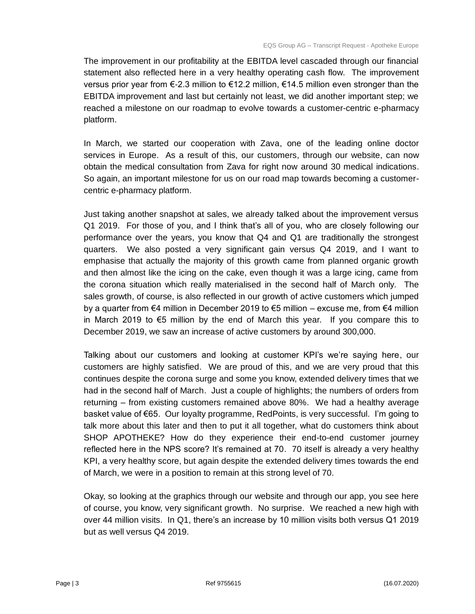The improvement in our profitability at the EBITDA level cascaded through our financial statement also reflected here in a very healthy operating cash flow. The improvement versus prior year from  $\epsilon$ -2.3 million to  $\epsilon$ 12.2 million,  $\epsilon$ 14.5 million even stronger than the EBITDA improvement and last but certainly not least, we did another important step; we reached a milestone on our roadmap to evolve towards a customer-centric e-pharmacy platform.

In March, we started our cooperation with Zava, one of the leading online doctor services in Europe. As a result of this, our customers, through our website, can now obtain the medical consultation from Zava for right now around 30 medical indications. So again, an important milestone for us on our road map towards becoming a customercentric e-pharmacy platform.

Just taking another snapshot at sales, we already talked about the improvement versus Q1 2019. For those of you, and I think that's all of you, who are closely following our performance over the years, you know that Q4 and Q1 are traditionally the strongest quarters. We also posted a very significant gain versus Q4 2019, and I want to emphasise that actually the majority of this growth came from planned organic growth and then almost like the icing on the cake, even though it was a large icing, came from the corona situation which really materialised in the second half of March only. The sales growth, of course, is also reflected in our growth of active customers which jumped by a quarter from €4 million in December 2019 to €5 million – excuse me, from €4 million in March 2019 to €5 million by the end of March this year. If you compare this to December 2019, we saw an increase of active customers by around 300,000.

Talking about our customers and looking at customer KPI's we're saying here, our customers are highly satisfied. We are proud of this, and we are very proud that this continues despite the corona surge and some you know, extended delivery times that we had in the second half of March. Just a couple of highlights; the numbers of orders from returning – from existing customers remained above 80%. We had a healthy average basket value of €65. Our loyalty programme, RedPoints, is very successful. I'm going to talk more about this later and then to put it all together, what do customers think about SHOP APOTHEKE? How do they experience their end-to-end customer journey reflected here in the NPS score? It's remained at 70. 70 itself is already a very healthy KPI, a very healthy score, but again despite the extended delivery times towards the end of March, we were in a position to remain at this strong level of 70.

Okay, so looking at the graphics through our website and through our app, you see here of course, you know, very significant growth. No surprise. We reached a new high with over 44 million visits. In Q1, there's an increase by 10 million visits both versus Q1 2019 but as well versus Q4 2019.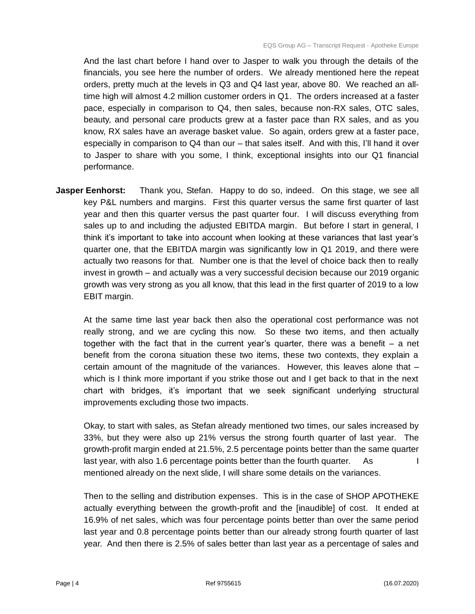And the last chart before I hand over to Jasper to walk you through the details of the financials, you see here the number of orders. We already mentioned here the repeat orders, pretty much at the levels in Q3 and Q4 last year, above 80. We reached an alltime high will almost 4.2 million customer orders in Q1. The orders increased at a faster pace, especially in comparison to Q4, then sales, because non-RX sales, OTC sales, beauty, and personal care products grew at a faster pace than RX sales, and as you know, RX sales have an average basket value. So again, orders grew at a faster pace, especially in comparison to Q4 than our – that sales itself. And with this, I'll hand it over to Jasper to share with you some, I think, exceptional insights into our Q1 financial performance.

**Jasper Eenhorst:** Thank you, Stefan. Happy to do so, indeed. On this stage, we see all key P&L numbers and margins. First this quarter versus the same first quarter of last year and then this quarter versus the past quarter four. I will discuss everything from sales up to and including the adjusted EBITDA margin. But before I start in general, I think it's important to take into account when looking at these variances that last year's quarter one, that the EBITDA margin was significantly low in Q1 2019, and there were actually two reasons for that. Number one is that the level of choice back then to really invest in growth – and actually was a very successful decision because our 2019 organic growth was very strong as you all know, that this lead in the first quarter of 2019 to a low EBIT margin.

At the same time last year back then also the operational cost performance was not really strong, and we are cycling this now. So these two items, and then actually together with the fact that in the current year's quarter, there was a benefit – a net benefit from the corona situation these two items, these two contexts, they explain a certain amount of the magnitude of the variances. However, this leaves alone that – which is I think more important if you strike those out and I get back to that in the next chart with bridges, it's important that we seek significant underlying structural improvements excluding those two impacts.

Okay, to start with sales, as Stefan already mentioned two times, our sales increased by 33%, but they were also up 21% versus the strong fourth quarter of last year. The growth-profit margin ended at 21.5%, 2.5 percentage points better than the same quarter last year, with also 1.6 percentage points better than the fourth quarter.  $\Delta s$ mentioned already on the next slide, I will share some details on the variances.

Then to the selling and distribution expenses. This is in the case of SHOP APOTHEKE actually everything between the growth-profit and the [inaudible] of cost. It ended at 16.9% of net sales, which was four percentage points better than over the same period last year and 0.8 percentage points better than our already strong fourth quarter of last year. And then there is 2.5% of sales better than last year as a percentage of sales and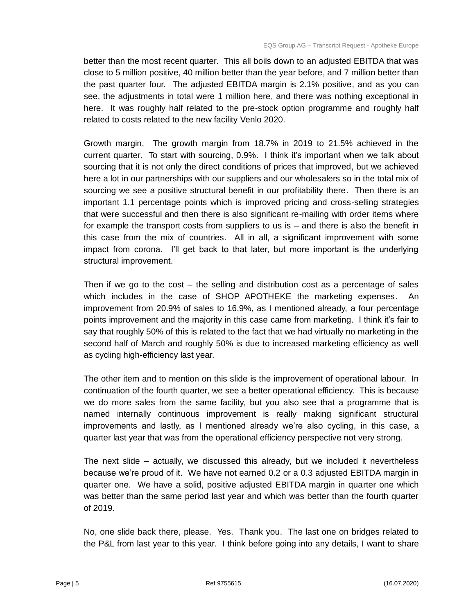better than the most recent quarter. This all boils down to an adjusted EBITDA that was close to 5 million positive, 40 million better than the year before, and 7 million better than the past quarter four. The adjusted EBITDA margin is 2.1% positive, and as you can see, the adjustments in total were 1 million here, and there was nothing exceptional in here. It was roughly half related to the pre-stock option programme and roughly half related to costs related to the new facility Venlo 2020.

Growth margin. The growth margin from 18.7% in 2019 to 21.5% achieved in the current quarter. To start with sourcing, 0.9%. I think it's important when we talk about sourcing that it is not only the direct conditions of prices that improved, but we achieved here a lot in our partnerships with our suppliers and our wholesalers so in the total mix of sourcing we see a positive structural benefit in our profitability there. Then there is an important 1.1 percentage points which is improved pricing and cross-selling strategies that were successful and then there is also significant re-mailing with order items where for example the transport costs from suppliers to us is – and there is also the benefit in this case from the mix of countries. All in all, a significant improvement with some impact from corona. I'll get back to that later, but more important is the underlying structural improvement.

Then if we go to the cost – the selling and distribution cost as a percentage of sales which includes in the case of SHOP APOTHEKE the marketing expenses. improvement from 20.9% of sales to 16.9%, as I mentioned already, a four percentage points improvement and the majority in this case came from marketing. I think it's fair to say that roughly 50% of this is related to the fact that we had virtually no marketing in the second half of March and roughly 50% is due to increased marketing efficiency as well as cycling high-efficiency last year.

The other item and to mention on this slide is the improvement of operational labour. In continuation of the fourth quarter, we see a better operational efficiency. This is because we do more sales from the same facility, but you also see that a programme that is named internally continuous improvement is really making significant structural improvements and lastly, as I mentioned already we're also cycling, in this case, a quarter last year that was from the operational efficiency perspective not very strong.

The next slide – actually, we discussed this already, but we included it nevertheless because we're proud of it. We have not earned 0.2 or a 0.3 adjusted EBITDA margin in quarter one. We have a solid, positive adjusted EBITDA margin in quarter one which was better than the same period last year and which was better than the fourth quarter of 2019.

No, one slide back there, please. Yes. Thank you. The last one on bridges related to the P&L from last year to this year. I think before going into any details, I want to share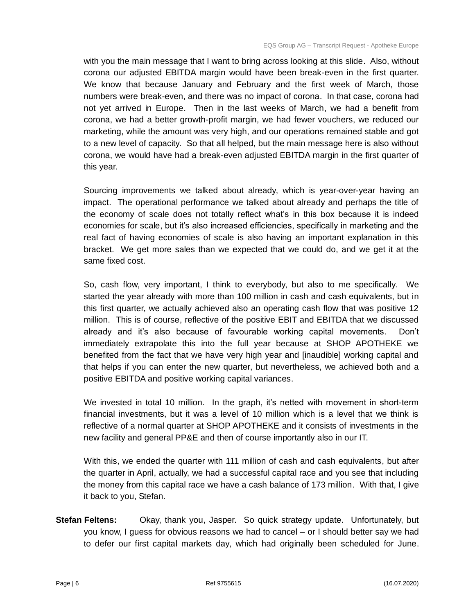with you the main message that I want to bring across looking at this slide. Also, without corona our adjusted EBITDA margin would have been break-even in the first quarter. We know that because January and February and the first week of March, those numbers were break-even, and there was no impact of corona. In that case, corona had not yet arrived in Europe. Then in the last weeks of March, we had a benefit from corona, we had a better growth-profit margin, we had fewer vouchers, we reduced our marketing, while the amount was very high, and our operations remained stable and got to a new level of capacity. So that all helped, but the main message here is also without corona, we would have had a break-even adjusted EBITDA margin in the first quarter of this year.

Sourcing improvements we talked about already, which is year-over-year having an impact. The operational performance we talked about already and perhaps the title of the economy of scale does not totally reflect what's in this box because it is indeed economies for scale, but it's also increased efficiencies, specifically in marketing and the real fact of having economies of scale is also having an important explanation in this bracket. We get more sales than we expected that we could do, and we get it at the same fixed cost.

So, cash flow, very important, I think to everybody, but also to me specifically. We started the year already with more than 100 million in cash and cash equivalents, but in this first quarter, we actually achieved also an operating cash flow that was positive 12 million. This is of course, reflective of the positive EBIT and EBITDA that we discussed already and it's also because of favourable working capital movements. Don't immediately extrapolate this into the full year because at SHOP APOTHEKE we benefited from the fact that we have very high year and [inaudible] working capital and that helps if you can enter the new quarter, but nevertheless, we achieved both and a positive EBITDA and positive working capital variances.

We invested in total 10 million. In the graph, it's netted with movement in short-term financial investments, but it was a level of 10 million which is a level that we think is reflective of a normal quarter at SHOP APOTHEKE and it consists of investments in the new facility and general PP&E and then of course importantly also in our IT.

With this, we ended the quarter with 111 million of cash and cash equivalents, but after the quarter in April, actually, we had a successful capital race and you see that including the money from this capital race we have a cash balance of 173 million. With that, I give it back to you, Stefan.

**Stefan Feltens:** Okay, thank you, Jasper. So quick strategy update. Unfortunately, but you know, I guess for obvious reasons we had to cancel – or I should better say we had to defer our first capital markets day, which had originally been scheduled for June.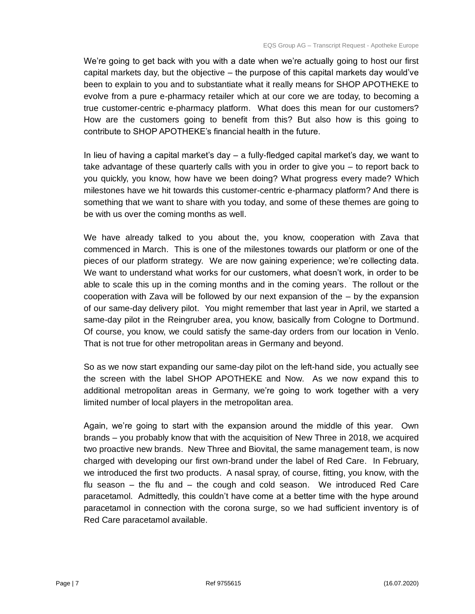We're going to get back with you with a date when we're actually going to host our first capital markets day, but the objective – the purpose of this capital markets day would've been to explain to you and to substantiate what it really means for SHOP APOTHEKE to evolve from a pure e-pharmacy retailer which at our core we are today, to becoming a true customer-centric e-pharmacy platform. What does this mean for our customers? How are the customers going to benefit from this? But also how is this going to contribute to SHOP APOTHEKE's financial health in the future.

In lieu of having a capital market's day – a fully-fledged capital market's day, we want to take advantage of these quarterly calls with you in order to give you – to report back to you quickly, you know, how have we been doing? What progress every made? Which milestones have we hit towards this customer-centric e-pharmacy platform? And there is something that we want to share with you today, and some of these themes are going to be with us over the coming months as well.

We have already talked to you about the, you know, cooperation with Zava that commenced in March. This is one of the milestones towards our platform or one of the pieces of our platform strategy. We are now gaining experience; we're collecting data. We want to understand what works for our customers, what doesn't work, in order to be able to scale this up in the coming months and in the coming years. The rollout or the cooperation with Zava will be followed by our next expansion of the – by the expansion of our same-day delivery pilot. You might remember that last year in April, we started a same-day pilot in the Reingruber area, you know, basically from Cologne to Dortmund. Of course, you know, we could satisfy the same-day orders from our location in Venlo. That is not true for other metropolitan areas in Germany and beyond.

So as we now start expanding our same-day pilot on the left-hand side, you actually see the screen with the label SHOP APOTHEKE and Now. As we now expand this to additional metropolitan areas in Germany, we're going to work together with a very limited number of local players in the metropolitan area.

Again, we're going to start with the expansion around the middle of this year. Own brands – you probably know that with the acquisition of New Three in 2018, we acquired two proactive new brands. New Three and Biovital, the same management team, is now charged with developing our first own-brand under the label of Red Care. In February, we introduced the first two products. A nasal spray, of course, fitting, you know, with the flu season – the flu and – the cough and cold season. We introduced Red Care paracetamol. Admittedly, this couldn't have come at a better time with the hype around paracetamol in connection with the corona surge, so we had sufficient inventory is of Red Care paracetamol available.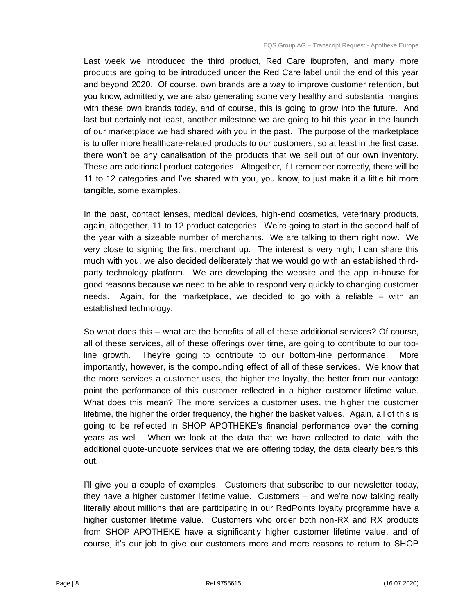Last week we introduced the third product, Red Care ibuprofen, and many more products are going to be introduced under the Red Care label until the end of this year and beyond 2020. Of course, own brands are a way to improve customer retention, but you know, admittedly, we are also generating some very healthy and substantial margins with these own brands today, and of course, this is going to grow into the future. And last but certainly not least, another milestone we are going to hit this year in the launch of our marketplace we had shared with you in the past. The purpose of the marketplace is to offer more healthcare-related products to our customers, so at least in the first case, there won't be any canalisation of the products that we sell out of our own inventory. These are additional product categories. Altogether, if I remember correctly, there will be 11 to 12 categories and I've shared with you, you know, to just make it a little bit more tangible, some examples.

In the past, contact lenses, medical devices, high-end cosmetics, veterinary products, again, altogether, 11 to 12 product categories. We're going to start in the second half of the year with a sizeable number of merchants. We are talking to them right now. We very close to signing the first merchant up. The interest is very high; I can share this much with you, we also decided deliberately that we would go with an established thirdparty technology platform. We are developing the website and the app in-house for good reasons because we need to be able to respond very quickly to changing customer needs. Again, for the marketplace, we decided to go with a reliable – with an established technology.

So what does this – what are the benefits of all of these additional services? Of course, all of these services, all of these offerings over time, are going to contribute to our topline growth. They're going to contribute to our bottom-line performance. More importantly, however, is the compounding effect of all of these services. We know that the more services a customer uses, the higher the loyalty, the better from our vantage point the performance of this customer reflected in a higher customer lifetime value. What does this mean? The more services a customer uses, the higher the customer lifetime, the higher the order frequency, the higher the basket values. Again, all of this is going to be reflected in SHOP APOTHEKE's financial performance over the coming years as well. When we look at the data that we have collected to date, with the additional quote-unquote services that we are offering today, the data clearly bears this out.

I'll give you a couple of examples. Customers that subscribe to our newsletter today, they have a higher customer lifetime value. Customers – and we're now talking really literally about millions that are participating in our RedPoints loyalty programme have a higher customer lifetime value. Customers who order both non-RX and RX products from SHOP APOTHEKE have a significantly higher customer lifetime value, and of course, it's our job to give our customers more and more reasons to return to SHOP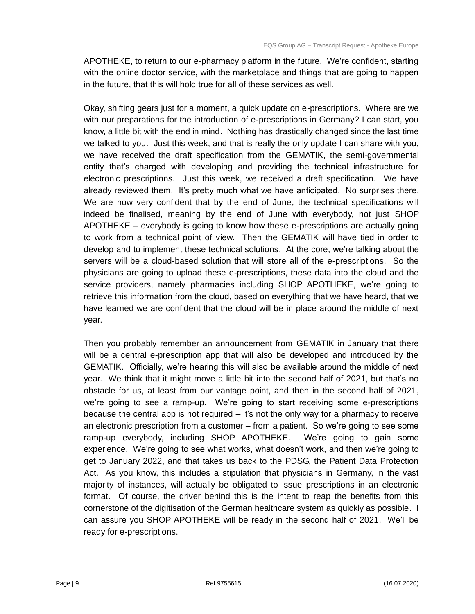APOTHEKE, to return to our e-pharmacy platform in the future. We're confident, starting with the online doctor service, with the marketplace and things that are going to happen in the future, that this will hold true for all of these services as well.

Okay, shifting gears just for a moment, a quick update on e-prescriptions. Where are we with our preparations for the introduction of e-prescriptions in Germany? I can start, you know, a little bit with the end in mind. Nothing has drastically changed since the last time we talked to you. Just this week, and that is really the only update I can share with you, we have received the draft specification from the GEMATIK, the semi-governmental entity that's charged with developing and providing the technical infrastructure for electronic prescriptions. Just this week, we received a draft specification. We have already reviewed them. It's pretty much what we have anticipated. No surprises there. We are now very confident that by the end of June, the technical specifications will indeed be finalised, meaning by the end of June with everybody, not just SHOP APOTHEKE – everybody is going to know how these e-prescriptions are actually going to work from a technical point of view. Then the GEMATIK will have tied in order to develop and to implement these technical solutions. At the core, we're talking about the servers will be a cloud-based solution that will store all of the e-prescriptions. So the physicians are going to upload these e-prescriptions, these data into the cloud and the service providers, namely pharmacies including SHOP APOTHEKE, we're going to retrieve this information from the cloud, based on everything that we have heard, that we have learned we are confident that the cloud will be in place around the middle of next year.

Then you probably remember an announcement from GEMATIK in January that there will be a central e-prescription app that will also be developed and introduced by the GEMATIK. Officially, we're hearing this will also be available around the middle of next year. We think that it might move a little bit into the second half of 2021, but that's no obstacle for us, at least from our vantage point, and then in the second half of 2021, we're going to see a ramp-up. We're going to start receiving some e-prescriptions because the central app is not required – it's not the only way for a pharmacy to receive an electronic prescription from a customer – from a patient. So we're going to see some ramp-up everybody, including SHOP APOTHEKE. We're going to gain some experience. We're going to see what works, what doesn't work, and then we're going to get to January 2022, and that takes us back to the PDSG, the Patient Data Protection Act. As you know, this includes a stipulation that physicians in Germany, in the vast majority of instances, will actually be obligated to issue prescriptions in an electronic format. Of course, the driver behind this is the intent to reap the benefits from this cornerstone of the digitisation of the German healthcare system as quickly as possible. I can assure you SHOP APOTHEKE will be ready in the second half of 2021. We'll be ready for e-prescriptions.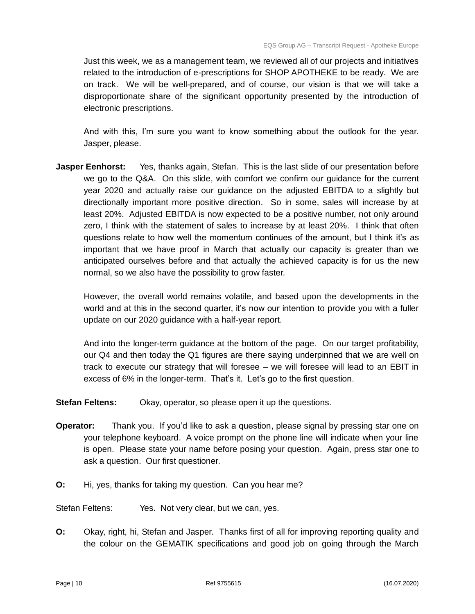Just this week, we as a management team, we reviewed all of our projects and initiatives related to the introduction of e-prescriptions for SHOP APOTHEKE to be ready. We are on track. We will be well-prepared, and of course, our vision is that we will take a disproportionate share of the significant opportunity presented by the introduction of electronic prescriptions.

And with this, I'm sure you want to know something about the outlook for the year. Jasper, please.

**Jasper Eenhorst:** Yes, thanks again, Stefan. This is the last slide of our presentation before we go to the Q&A. On this slide, with comfort we confirm our guidance for the current year 2020 and actually raise our guidance on the adjusted EBITDA to a slightly but directionally important more positive direction. So in some, sales will increase by at least 20%. Adjusted EBITDA is now expected to be a positive number, not only around zero, I think with the statement of sales to increase by at least 20%. I think that often questions relate to how well the momentum continues of the amount, but I think it's as important that we have proof in March that actually our capacity is greater than we anticipated ourselves before and that actually the achieved capacity is for us the new normal, so we also have the possibility to grow faster.

However, the overall world remains volatile, and based upon the developments in the world and at this in the second quarter, it's now our intention to provide you with a fuller update on our 2020 guidance with a half-year report.

And into the longer-term guidance at the bottom of the page. On our target profitability, our Q4 and then today the Q1 figures are there saying underpinned that we are well on track to execute our strategy that will foresee – we will foresee will lead to an EBIT in excess of 6% in the longer-term. That's it. Let's go to the first question.

**Stefan Feltens:** Okay, operator, so please open it up the questions.

- **Operator:** Thank you. If you'd like to ask a question, please signal by pressing star one on your telephone keyboard. A voice prompt on the phone line will indicate when your line is open. Please state your name before posing your question. Again, press star one to ask a question. Our first questioner.
- **O:** Hi, yes, thanks for taking my question. Can you hear me?

Stefan Feltens: Yes. Not very clear, but we can, yes.

**O:** Okay, right, hi, Stefan and Jasper. Thanks first of all for improving reporting quality and the colour on the GEMATIK specifications and good job on going through the March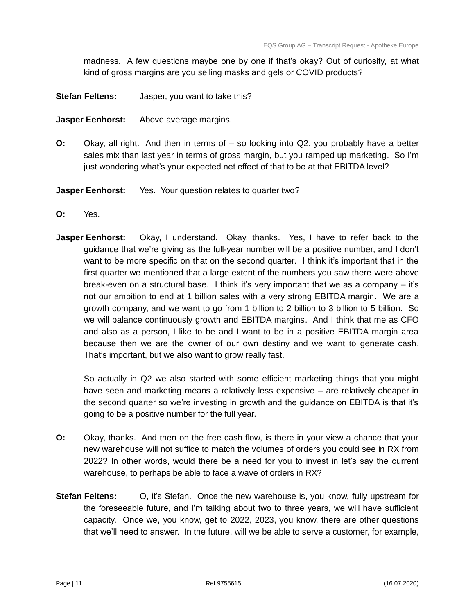madness. A few questions maybe one by one if that's okay? Out of curiosity, at what kind of gross margins are you selling masks and gels or COVID products?

- **Stefan Feltens:** Jasper, you want to take this?
- **Jasper Eenhorst:** Above average margins.
- **O:** Okay, all right. And then in terms of so looking into Q2, you probably have a better sales mix than last year in terms of gross margin, but you ramped up marketing. So I'm just wondering what's your expected net effect of that to be at that EBITDA level?

**Jasper Eenhorst:** Yes. Your question relates to quarter two?

- **O:** Yes.
- **Jasper Eenhorst:** Okay, I understand. Okay, thanks. Yes, I have to refer back to the guidance that we're giving as the full-year number will be a positive number, and I don't want to be more specific on that on the second quarter. I think it's important that in the first quarter we mentioned that a large extent of the numbers you saw there were above break-even on a structural base. I think it's very important that we as a company – it's not our ambition to end at 1 billion sales with a very strong EBITDA margin. We are a growth company, and we want to go from 1 billion to 2 billion to 3 billion to 5 billion. So we will balance continuously growth and EBITDA margins. And I think that me as CFO and also as a person, I like to be and I want to be in a positive EBITDA margin area because then we are the owner of our own destiny and we want to generate cash. That's important, but we also want to grow really fast.

So actually in Q2 we also started with some efficient marketing things that you might have seen and marketing means a relatively less expensive – are relatively cheaper in the second quarter so we're investing in growth and the guidance on EBITDA is that it's going to be a positive number for the full year.

- **O:** Okay, thanks. And then on the free cash flow, is there in your view a chance that your new warehouse will not suffice to match the volumes of orders you could see in RX from 2022? In other words, would there be a need for you to invest in let's say the current warehouse, to perhaps be able to face a wave of orders in RX?
- **Stefan Feltens:** O, it's Stefan. Once the new warehouse is, you know, fully upstream for the foreseeable future, and I'm talking about two to three years, we will have sufficient capacity. Once we, you know, get to 2022, 2023, you know, there are other questions that we'll need to answer. In the future, will we be able to serve a customer, for example,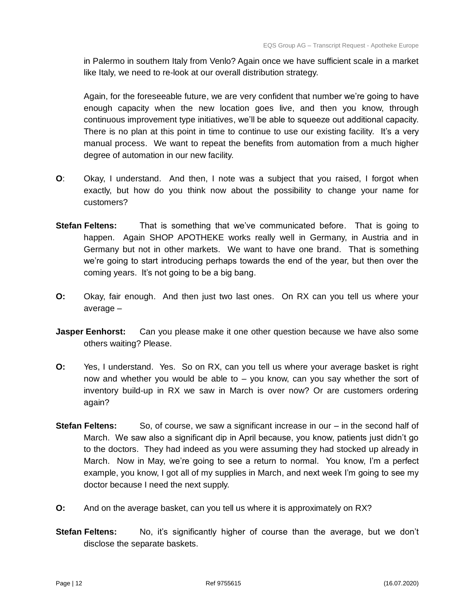in Palermo in southern Italy from Venlo? Again once we have sufficient scale in a market like Italy, we need to re-look at our overall distribution strategy.

Again, for the foreseeable future, we are very confident that number we're going to have enough capacity when the new location goes live, and then you know, through continuous improvement type initiatives, we'll be able to squeeze out additional capacity. There is no plan at this point in time to continue to use our existing facility. It's a very manual process. We want to repeat the benefits from automation from a much higher degree of automation in our new facility.

- **O**: Okay, I understand. And then, I note was a subject that you raised, I forgot when exactly, but how do you think now about the possibility to change your name for customers?
- **Stefan Feltens:** That is something that we've communicated before. That is going to happen. Again SHOP APOTHEKE works really well in Germany, in Austria and in Germany but not in other markets. We want to have one brand. That is something we're going to start introducing perhaps towards the end of the year, but then over the coming years. It's not going to be a big bang.
- **O:** Okay, fair enough. And then just two last ones. On RX can you tell us where your average –
- **Jasper Eenhorst:** Can you please make it one other question because we have also some others waiting? Please.
- **O:** Yes, I understand. Yes. So on RX, can you tell us where your average basket is right now and whether you would be able to – you know, can you say whether the sort of inventory build-up in RX we saw in March is over now? Or are customers ordering again?
- **Stefan Feltens:** So, of course, we saw a significant increase in our in the second half of March. We saw also a significant dip in April because, you know, patients just didn't go to the doctors. They had indeed as you were assuming they had stocked up already in March. Now in May, we're going to see a return to normal. You know, I'm a perfect example, you know, I got all of my supplies in March, and next week I'm going to see my doctor because I need the next supply.
- **O:** And on the average basket, can you tell us where it is approximately on RX?
- **Stefan Feltens:** No, it's significantly higher of course than the average, but we don't disclose the separate baskets.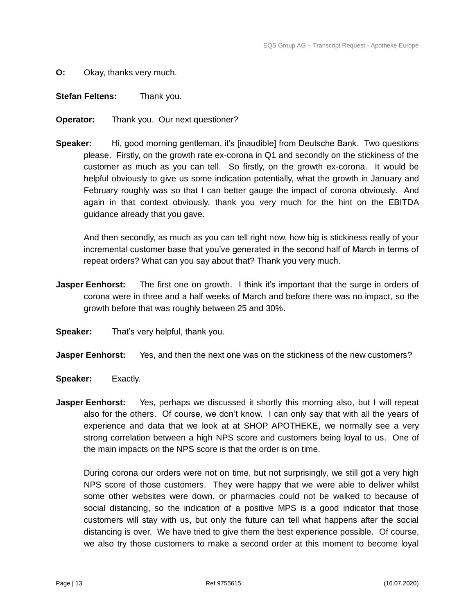- **O:** Okay, thanks very much.
- **Stefan Feltens:** Thank you.
- **Operator:** Thank you. Our next questioner?
- **Speaker:** Hi, good morning gentleman, it's [inaudible] from Deutsche Bank. Two questions please. Firstly, on the growth rate ex-corona in Q1 and secondly on the stickiness of the customer as much as you can tell. So firstly, on the growth ex-corona. It would be helpful obviously to give us some indication potentially, what the growth in January and February roughly was so that I can better gauge the impact of corona obviously. And again in that context obviously, thank you very much for the hint on the EBITDA guidance already that you gave.

And then secondly, as much as you can tell right now, how big is stickiness really of your incremental customer base that you've generated in the second half of March in terms of repeat orders? What can you say about that? Thank you very much.

- **Jasper Eenhorst:** The first one on growth. I think it's important that the surge in orders of corona were in three and a half weeks of March and before there was no impact, so the growth before that was roughly between 25 and 30%.
- **Speaker:** That's very helpful, thank you.
- **Jasper Eenhorst:** Yes, and then the next one was on the stickiness of the new customers?
- **Speaker:** Exactly.
- **Jasper Eenhorst:** Yes, perhaps we discussed it shortly this morning also, but I will repeat also for the others. Of course, we don't know. I can only say that with all the years of experience and data that we look at at SHOP APOTHEKE, we normally see a very strong correlation between a high NPS score and customers being loyal to us. One of the main impacts on the NPS score is that the order is on time.

During corona our orders were not on time, but not surprisingly, we still got a very high NPS score of those customers. They were happy that we were able to deliver whilst some other websites were down, or pharmacies could not be walked to because of social distancing, so the indication of a positive MPS is a good indicator that those customers will stay with us, but only the future can tell what happens after the social distancing is over. We have tried to give them the best experience possible. Of course, we also try those customers to make a second order at this moment to become loyal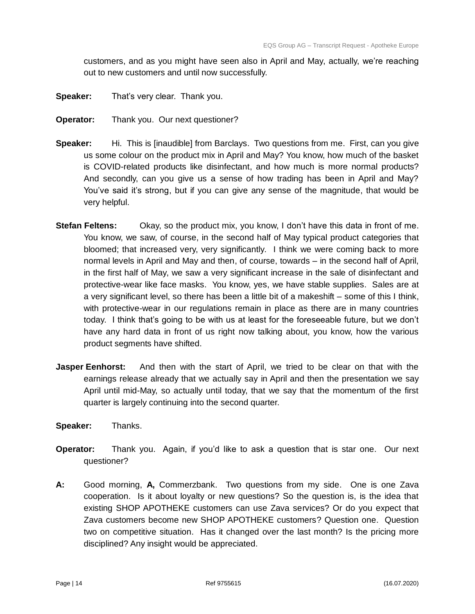customers, and as you might have seen also in April and May, actually, we're reaching out to new customers and until now successfully.

- **Speaker:** That's very clear. Thank you.
- **Operator:** Thank you. Our next questioner?
- **Speaker:** Hi. This is [inaudible] from Barclays. Two questions from me. First, can you give us some colour on the product mix in April and May? You know, how much of the basket is COVID-related products like disinfectant, and how much is more normal products? And secondly, can you give us a sense of how trading has been in April and May? You've said it's strong, but if you can give any sense of the magnitude, that would be very helpful.
- **Stefan Feltens:** Okay, so the product mix, you know, I don't have this data in front of me. You know, we saw, of course, in the second half of May typical product categories that bloomed; that increased very, very significantly. I think we were coming back to more normal levels in April and May and then, of course, towards – in the second half of April, in the first half of May, we saw a very significant increase in the sale of disinfectant and protective-wear like face masks. You know, yes, we have stable supplies. Sales are at a very significant level, so there has been a little bit of a makeshift – some of this I think, with protective-wear in our regulations remain in place as there are in many countries today. I think that's going to be with us at least for the foreseeable future, but we don't have any hard data in front of us right now talking about, you know, how the various product segments have shifted.
- **Jasper Eenhorst:** And then with the start of April, we tried to be clear on that with the earnings release already that we actually say in April and then the presentation we say April until mid-May, so actually until today, that we say that the momentum of the first quarter is largely continuing into the second quarter.
- **Speaker:** Thanks.
- **Operator:** Thank you. Again, if you'd like to ask a question that is star one. Our next questioner?
- **A:** Good morning, **A,** Commerzbank. Two questions from my side. One is one Zava cooperation. Is it about loyalty or new questions? So the question is, is the idea that existing SHOP APOTHEKE customers can use Zava services? Or do you expect that Zava customers become new SHOP APOTHEKE customers? Question one. Question two on competitive situation. Has it changed over the last month? Is the pricing more disciplined? Any insight would be appreciated.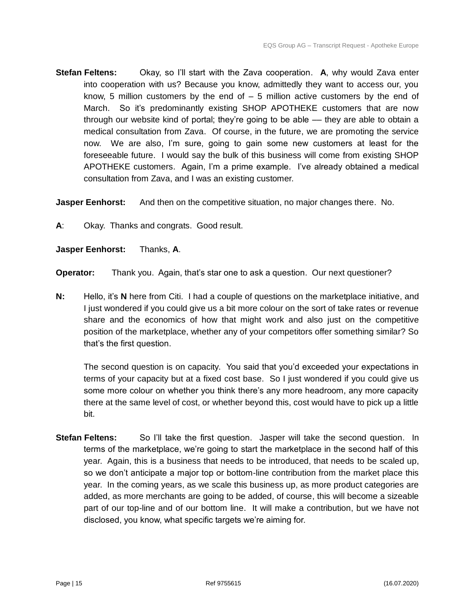**Stefan Feltens:** Okay, so I'll start with the Zava cooperation. **A**, why would Zava enter into cooperation with us? Because you know, admittedly they want to access our, you know, 5 million customers by the end of  $-5$  million active customers by the end of March. So it's predominantly existing SHOP APOTHEKE customers that are now through our website kind of portal; they're going to be able –– they are able to obtain a medical consultation from Zava. Of course, in the future, we are promoting the service now. We are also, I'm sure, going to gain some new customers at least for the foreseeable future. I would say the bulk of this business will come from existing SHOP APOTHEKE customers. Again, I'm a prime example. I've already obtained a medical consultation from Zava, and I was an existing customer.

**Jasper Eenhorst:** And then on the competitive situation, no major changes there. No.

**A**: Okay. Thanks and congrats. Good result.

**Jasper Eenhorst:** Thanks, **A**.

**Operator:** Thank you. Again, that's star one to ask a question. Our next questioner?

**N:** Hello, it's **N** here from Citi. I had a couple of questions on the marketplace initiative, and I just wondered if you could give us a bit more colour on the sort of take rates or revenue share and the economics of how that might work and also just on the competitive position of the marketplace, whether any of your competitors offer something similar? So that's the first question.

The second question is on capacity. You said that you'd exceeded your expectations in terms of your capacity but at a fixed cost base. So I just wondered if you could give us some more colour on whether you think there's any more headroom, any more capacity there at the same level of cost, or whether beyond this, cost would have to pick up a little bit.

**Stefan Feltens:** So I'll take the first question. Jasper will take the second question. In terms of the marketplace, we're going to start the marketplace in the second half of this year. Again, this is a business that needs to be introduced, that needs to be scaled up, so we don't anticipate a major top or bottom-line contribution from the market place this year. In the coming years, as we scale this business up, as more product categories are added, as more merchants are going to be added, of course, this will become a sizeable part of our top-line and of our bottom line. It will make a contribution, but we have not disclosed, you know, what specific targets we're aiming for.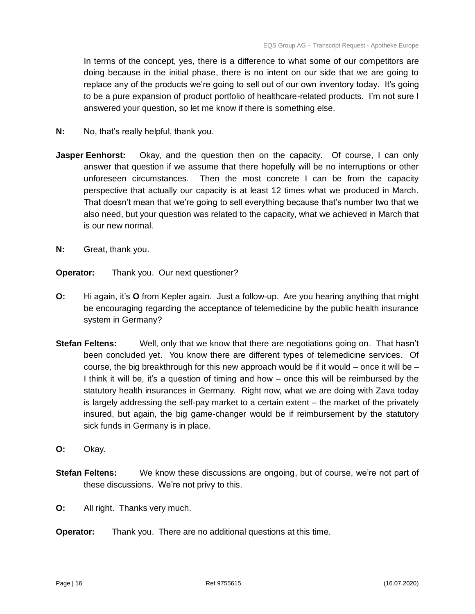In terms of the concept, yes, there is a difference to what some of our competitors are doing because in the initial phase, there is no intent on our side that we are going to replace any of the products we're going to sell out of our own inventory today. It's going to be a pure expansion of product portfolio of healthcare-related products. I'm not sure I answered your question, so let me know if there is something else.

- **N:** No, that's really helpful, thank you.
- **Jasper Eenhorst:** Okay, and the question then on the capacity. Of course, I can only answer that question if we assume that there hopefully will be no interruptions or other unforeseen circumstances. Then the most concrete I can be from the capacity perspective that actually our capacity is at least 12 times what we produced in March. That doesn't mean that we're going to sell everything because that's number two that we also need, but your question was related to the capacity, what we achieved in March that is our new normal.
- **N:** Great, thank you.
- **Operator:** Thank you. Our next questioner?
- **O:** Hi again, it's **O** from Kepler again. Just a follow-up. Are you hearing anything that might be encouraging regarding the acceptance of telemedicine by the public health insurance system in Germany?
- **Stefan Feltens:** Well, only that we know that there are negotiations going on. That hasn't been concluded yet. You know there are different types of telemedicine services. Of course, the big breakthrough for this new approach would be if it would – once it will be – I think it will be, it's a question of timing and how – once this will be reimbursed by the statutory health insurances in Germany. Right now, what we are doing with Zava today is largely addressing the self-pay market to a certain extent – the market of the privately insured, but again, the big game-changer would be if reimbursement by the statutory sick funds in Germany is in place.
- **O:** Okay.
- **Stefan Feltens:** We know these discussions are ongoing, but of course, we're not part of these discussions. We're not privy to this.
- **O:** All right. Thanks very much.
- **Operator:** Thank you. There are no additional questions at this time.